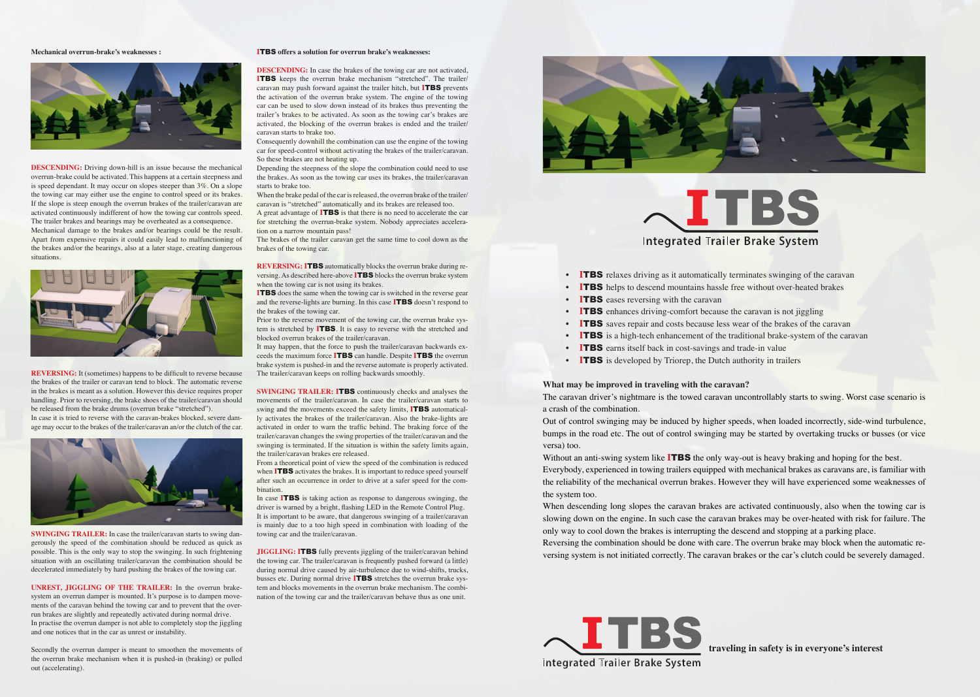**What may be improved in traveling with the caravan?**

Without an anti-swing system like **ITBS** the only way-out is heavy braking and hoping for the best. Everybody, experienced in towing trailers equipped with mechanical brakes as caravans are, is familiar with the reliability of the mechanical overrun brakes. However they will have experienced some weaknesses of the system too.

The caravan driver's nightmare is the towed caravan uncontrollably starts to swing. Worst case scenario is a crash of the combination.

Out of control swinging may be induced by higher speeds, when loaded incorrectly, side-wind turbulence, bumps in the road etc. The out of control swinging may be started by overtaking trucks or busses (or vice versa) too.

**REVERSING:** It (sometimes) happens to be difficult to reverse because the brakes of the trailer or caravan tend to block. The automatic reverse in the brakes is meant as a solution. However this device requires proper handling. Prior to reversing, the brake shoes of the trailer/caravan should be released from the brake drums (overrun brake "stretched"). In case it is tried to reverse with the caravan-brakes blocked, severe dam-

> When descending long slopes the caravan brakes are activated continuously, also when the towing car is slowing down on the engine. In such case the caravan brakes may be over-heated with risk for failure. The only way to cool down the brakes is interrupting the descend and stopping at a parking place. Reversing the combination should be done with care. The overrun brake may block when the automatic reversing system is not initiated correctly. The caravan brakes or the car's clutch could be severely damaged.

#### **Mechanical overrun-brake's weaknesses :**



**DESCENDING:** Driving down-hill is an issue because the mechanical overrun-brake could be activated. This happens at a certain steepness and is speed dependant. It may occur on slopes steeper than 3%. On a slope the towing car may either use the engine to control speed or its brakes. If the slope is steep enough the overrun brakes of the trailer/caravan are activated continuously indifferent of how the towing car controls speed. The trailer brakes and bearings may be overheated as a consequence.

**DESCENDING:** In case the brakes of the towing car are not activated, **I**TBS keeps the overrun brake mechanism "stretched". The trailer/ caravan may push forward against the trailer hitch, but **I**TBS prevents the activation of the overrun brake system. The engine of the towing car can be used to slow down instead of its brakes thus preventing the trailer's brakes to be activated. As soon as the towing car's brakes are activated, the blocking of the overrun brakes is ended and the trailer/ caravan starts to brake too.

Mechanical damage to the brakes and/or bearings could be the result. Apart from expensive repairs it could easily lead to malfunctioning of the brakes and/or the bearings, also at a later stage, creating dangerous situations.



age may occur to the brakes of the trailer/caravan an/or the clutch of the car.



**SWINGING TRAILER:** In case the trailer/caravan starts to swing dangerously the speed of the combination should be reduced as quick as possible. This is the only way to stop the swinging. In such frightening situation with an oscillating trailer/caravan the combination should be decelerated immediately by hard pushing the brakes of the towing car.

**SWINGING TRAILER: <b>ITBS** continuously checks and analyses the movements of the trailer/caravan. In case the trailer/caravan starts to swing and the movements exceed the safety limits, **I**TBS automatically activates the brakes of the trailer/caravan. Also the brake-lights are activated in order to warn the traffic behind. The braking force of the trailer/caravan changes the swing properties of the trailer/caravan and the swinging is terminated. If the situation is within the safety limits again, the trailer/caravan brakes ere released.

**UNREST, JIGGLING OF THE TRAILER:** In the overrun brakesystem an overrun damper is mounted. It's purpose is to dampen movements of the caravan behind the towing car and to prevent that the overrun brakes are slightly and repeatedly activated during normal drive. In practise the overrun damper is not able to completely stop the jiggling and one notices that in the car as unrest or instability.

Secondly the overrun damper is meant to smoothen the movements of the overrun brake mechanism when it is pushed-in (braking) or pulled out (accelerating).

#### **I**TBS **offers a solution for overrun brake's weaknesses:**

Consequently downhill the combination can use the engine of the towing car for speed-control without activating the brakes of the trailer/caravan. So these brakes are not heating up.

Depending the steepness of the slope the combination could need to use the brakes. As soon as the towing car uses its brakes, the trailer/caravan starts to brake too.

When the brake pedal of the car is released, the overrun brake of the trailer/ caravan is "stretched" automatically and its brakes are released too.

A great advantage of **I**TBS is that there is no need to accelerate the car for stretching the overrun-brake system. Nobody appreciates acceleration on a narrow mountain pass!

The brakes of the trailer caravan get the same time to cool down as the brakes of the towing car.

**REVERSING: I**TBS automatically blocks the overrun brake during reversing. As described here-above **I**TBS blocks the overrun brake system when the towing car is not using its brakes.

**I**TBS does the same when the towing car is switched in the reverse gear and the reverse-lights are burning. In this case **I**TBS doesn't respond to the brakes of the towing car.

Prior to the reverse movement of the towing car, the overrun brake system is stretched by **I**TBS. It is easy to reverse with the stretched and blocked overrun brakes of the trailer/caravan.

It may happen, that the force to push the trailer/caravan backwards exceeds the maximum force **I**TBS can handle. Despite **I**TBS the overrun brake system is pushed-in and the reverse automate is properly activated. The trailer/caravan keeps on rolling backwards smoothly.

From a theoretical point of view the speed of the combination is reduced when **ITBS** activates the brakes. It is important to reduce speed yourself after such an occurrence in order to drive at a safer speed for the combination.

In case **I**TBS is taking action as response to dangerous swinging, the driver is warned by a bright, flashing LED in the Remote Control Plug. It is important to be aware, that dangerous swinging of a trailer/caravan is mainly due to a too high speed in combination with loading of the towing car and the trailer/caravan.

**JIGGLING: I**TBS fully prevents jiggling of the trailer/caravan behind the towing car. The trailer/caravan is frequently pushed forward (a little) during normal drive caused by air-turbulence due to wind-shifts, trucks, busses etc. During normal drive **I**TBS stretches the overrun brake system and blocks movements in the overrun brake mechanism. The combination of the towing car and the trailer/caravan behave thus as one unit.







• **ITBS** is a high-tech enhancement of the traditional brake-system of the caravan



- **ITBS** relaxes driving as it automatically terminates swinging of the caravan
- **ITBS** helps to descend mountains hassle free without over-heated brakes
- **ITBS** eases reversing with the caravan
- **ITBS** enhances driving-comfort because the caravan is not jiggling
- **I**TBS saves repair and costs because less wear of the brakes of the caravan
- 
- **ITBS** earns itself back in cost-savings and trade-in value
- **ITBS** is developed by Triorep, the Dutch authority in trailers